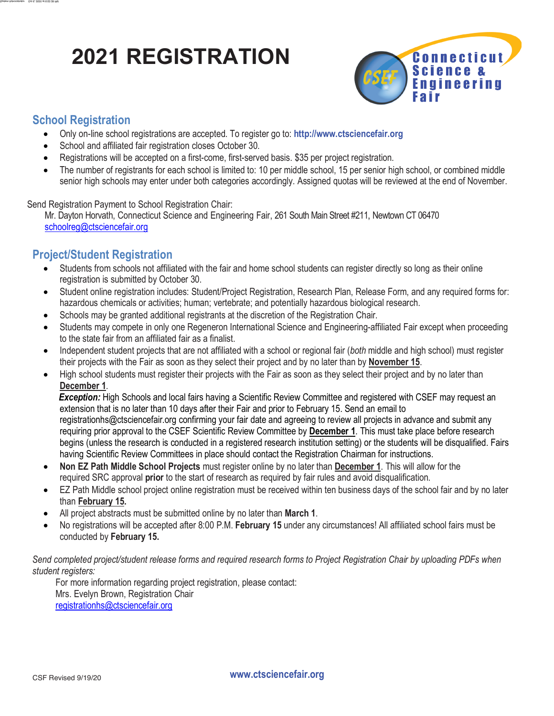# **2021 REGISTRATION**



### **School Registration**

System Administrator Oct 6, 2020 at 6:52:39 PM at 6:52:39 PM at 6:52:39 PM at 6:52:39 PM at 7:39 PM at 7:39 PM

- Only on-line school registrations are accepted. To register go to: **http://www.ctsciencefair.org**
- School and affiliated fair registration closes October 30.
- Registrations will be accepted on a first-come, first-served basis. \$35 per project registration.
- The number of registrants for each school is limited to: 10 per middle school, 15 per senior high school, or combined middle senior high schools may enter under both categories accordingly. Assigned quotas will be reviewed at the end of November.

Send Registration Payment to School Registration Chair:

Mr. Dayton Horvath, Connecticut Science and Engineering Fair, 261 South Main Street #211, Newtown CT 06470 schoolreg@ctsciencefair.org

## **Project/Student Registration**

- Students from schools not affiliated with the fair and home school students can register directly so long as their online registration is submitted by October 30.
- Student online registration includes: Student/Project Registration, Research Plan, Release Form, and any required forms for: hazardous chemicals or activities; human; vertebrate; and potentially hazardous biological research.
- Schools may be granted additional registrants at the discretion of the Registration Chair.
- Students may compete in only one Regeneron International Science and Engineering-affiliated Fair except when proceeding to the state fair from an affiliated fair as a finalist.
- Independent student projects that are not affiliated with a school or regional fair (*both* middle and high school) must register their projects with the Fair as soon as they select their project and by no later than by **November 15**.
- High school students must register their projects with the Fair as soon as they select their project and by no later than **December 1**.

 *Exception:* High Schools and local fairs having a Scientific Review Committee and registered with CSEF may request an extension that is no later than 10 days after their Fair and prior to February 15. Send an email to registrationhs@ctsciencefair.org confirming your fair date and agreeing to review all projects in advance and submit any requiring prior approval to the CSEF Scientific Review Committee by **December 1**. This must take place before research begins (unless the research is conducted in a registered research institution setting) or the students will be disqualified. Fairs having Scientific Review Committees in place should contact the Registration Chairman for instructions.

- **Non EZ Path Middle School Projects** must register online by no later than **December 1**. This will allow for the required SRC approval **prior** to the start of research as required by fair rules and avoid disqualification.
- EZ Path Middle school project online registration must be received within ten business days of the school fair and by no later than **February 15.**
- All project abstracts must be submitted online by no later than **March 1**.
- No registrations will be accepted after 8:00 P.M. **February 15** under any circumstances! All affiliated school fairs must be conducted by **February 15.**

*Send completed project/student release forms and required research forms to Project Registration Chair by uploading PDFs when student registers:* 

For more information regarding project registration, please contact: Mrs. Evelyn Brown, Registration Chair registrationhs@ctsciencefair.org